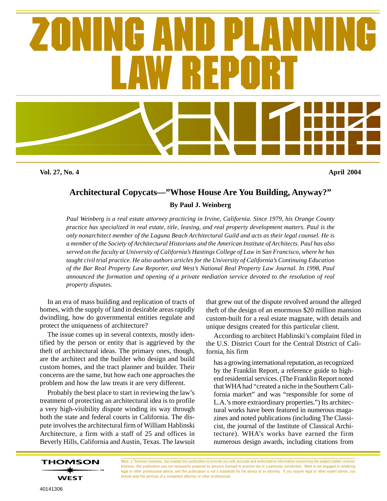

**Vol. 27, No. 4 April 2004**

## **Architectural Copycats—"Whose House Are You Building, Anyway?"**

**By Paul J. Weinberg**

*Paul Weinberg is a real estate attorney practicing in Irvine, California. Since 1979, his Orange County practice has specialized in real estate, title, leasing, and real property development matters. Paul is the only nonarchitect member of the Laguna Beach Architectural Guild and acts as their legal counsel. He is a member of the Society of Architectural Historians and the American Institute of Architects. Paul has also served on the faculty at University of California's Hastings College of Law in San Francisco, where he has taught civil trial practice. He also authors articles for the University of California's Continuing Education of the Bar Real Property Law Reporter, and West's National Real Property Law Journal. In 1998, Paul announced the formation and opening of a private mediation service devoted to the resolution of real property disputes.*

In an era of mass building and replication of tracts of homes, with the supply of land in desirable areas rapidly dwindling, how do governmental entities regulate and protect the uniqueness of architecture?

The issue comes up in several contexts, mostly identified by the person or entity that is aggrieved by the theft of architectural ideas. The primary ones, though, are the architect and the builder who design and build custom homes, and the tract planner and builder. Their concerns are the same, but how each one approaches the problem and how the law treats it are very different.

Probably the best place to start in reviewing the law's treatment of protecting an architectural idea is to profile a very high-visibility dispute winding its way through both the state and federal courts in California. The dispute involves the architectural firm of William Hablinski Architecture, a firm with a staff of 25 and offices in Beverly Hills, California and Austin, Texas. The lawsuit that grew out of the dispute revolved around the alleged theft of the design of an enormous \$20 million mansion custom-built for a real estate magnate, with details and unique designs created for this particular client.

According to architect Hablinski's complaint filed in the U.S. District Court for the Central District of California, his firm

has a growing international reputation, as recognized by the Franklin Report, a reference guide to highend residential services. (The Franklin Report noted that WHA had "created a niche in the Southern California market" and was "responsible for some of L.A.'s more extraordinary properties.") Its architectural works have been featured in numerous magazines and noted publications (including The Classicist, the journal of the Institute of Classical Architecture). WHA's works have earned the firm numerous design awards, including citations from

West, a Thomson business, has created this publication to provide you with accurate and authoritative information concerning the subject matter covered. However, this publication was not necessarily prepared by persons licensed to practice law in a particular jurisdiction. West is not engaged in rendering legal or other professional advice, and this publication is not a substitute for the advice of an attorney. If you require legal or other expert advice, you should seek the services of a competent attorney or other professional.

**THOMSON** 

**WEST**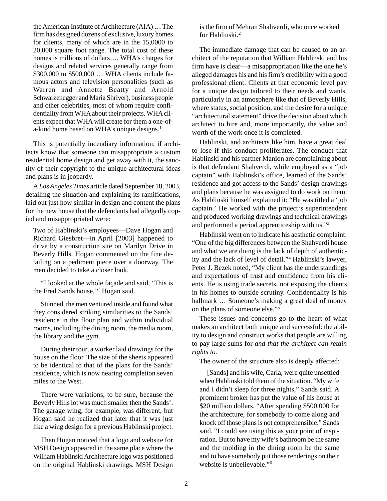the American Institute of Architecture (AIA) … The firm has designed dozens of exclusive, luxury homes for clients, many of which are in the 15,0000 to 20,000 square foot range. The total cost of these homes is millions of dollars…. WHA's charges for designs and related services generally range from \$300,000 to \$500,000 … WHA clients include famous actors and television personalities (such as Warren and Annette Beatty and Arnold Schwarzenegger and Maria Shriver), business people and other celebrities, most of whom require confidentiality from WHA about their projects. WHA clients expect that WHA will create for them a one-ofa-kind home based on WHA's unique designs.<sup>1</sup>

This is potentially incendiary information; if architects know that someone can misappropriate a custom residential home design and get away with it, the sanctity of their copyright to the unique architectural ideas and plans is in jeopardy.

A *Los Angeles Times* article dated September 18, 2003, detailing the situation and explaining its ramifications, laid out just how similar in design and content the plans for the new house that the defendants had allegedly copied and misappropriated were:

Two of Hablinski's employees—Dave Hogan and Richard Giesbret—in April [2003] happened to drive by a construction site on Marilyn Drive in Beverly Hills. Hogan commented on the fine detailing on a pediment piece over a doorway. The men decided to take a closer look.

"I looked at the whole façade and said, 'This is the Fred Sands house,'" Hogan said.

Stunned, the men ventured inside and found what they considered striking similarities to the Sands' residence in the floor plan and within individual rooms, including the dining room, the media room, the library and the gym.

During their tour, a worker laid drawings for the house on the floor. The size of the sheets appeared to be identical to that of the plans for the Sands' residence, which is now nearing completion seven miles to the West.

There were variations, to be sure, because the Beverly Hills lot was much smaller then the Sands'. The garage wing, for example, was different, but Hogan said he realized that later that it was just like a wing design for a previous Hablinski project.

Then Hogan noticed that a logo and website for MSH Design appeared in the same place where the William Hablinski Architecture logo was positioned on the original Hablinski drawings. MSH Design is the firm of Mehran Shahverdi, who once worked for Hablinski.2

The immediate damage that can be caused to an architect of the reputation that William Hablinski and his firm have is clear—a misappropriation like the one he's alleged damages his and his firm's credibility with a good professional client. Clients at that economic level pay for a unique design tailored to their needs and wants, particularly in an atmosphere like that of Beverly Hills, where status, social position, and the desire for a unique "architectural statement" drive the decision about which architect to hire and, more importantly, the value and worth of the work once it is completed.

Hablinski, and architects like him, have a great deal to lose if this conduct proliferates. The conduct that Hablinski and his partner Manion are complaining about is that defendant Shahverdi, while employed as a "job captain" with Hablinski's office, learned of the Sands' residence and got access to the Sands' design drawings and plans because he was assigned to do work on them. As Hablinski himself explained it: "He was titled a 'job captain.' He worked with the project's superintendent and produced working drawings and technical drawings and performed a period apprenticeship with us."3

Hablinski went on to indicate his aesthetic complaint: "One of the big differences between the Shahverdi house and what we are doing is the lack of depth of authenticity and the lack of level of detail."4 Hablinski's lawyer, Peter J. Bezek noted, "My client has the understandings and expectations of trust and confidence from his clients. He is using trade secrets, not exposing the clients in his homes to outside scrutiny. Confidentiality is his hallmark ... Someone's making a great deal of money on the plans of someone else."5

These issues and concerns go to the heart of what makes an architect both unique and successful: the ability to design and construct works that people are willing to pay large sums for *and that the architect can retain rights to.*

The owner of the structure also is deeply affected:

[Sands] and his wife, Carla, were quite unsettled when Hablinski told them of the situation. "My wife and I didn't sleep for three nights," Sands said. A prominent broker has put the value of his house at \$20 million dollars. "After spending \$500,000 for the architecture, for somebody to come along and knock off those plans is not comprehensible." Sands said. "I could see using this as your point of inspiration. But to have my wife's bathroom be the same and the molding in the dining room be the same and to have somebody put those renderings on their website is unbelievable."6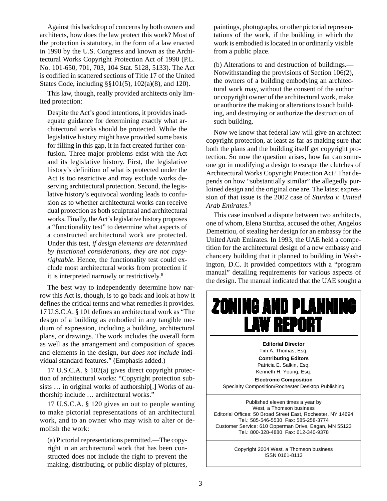Against this backdrop of concerns by both owners and architects, how does the law protect this work? Most of the protection is statutory, in the form of a law enacted in 1990 by the U.S. Congress and known as the Architectural Works Copyright Protection Act of 1990 (P.L. No. 101-650, 701, 703, 104 Stat. 5128, 5133). The Act is codified in scattered sections of Title 17 of the United States Code, including §§101(5), 102(a)(8), and 120).

This law, though, really provided architects only limited protection:

Despite the Act's good intentions, it provides inadequate guidance for determining exactly what architectural works should be protected. While the legislative history might have provided some basis for filling in this gap, it in fact created further confusion. Three major problems exist with the Act and its legislative history. First, the legislative history's definition of what is protected under the Act is too restrictive and may exclude works deserving architectural protection. Second, the legislative history's equivocal wording leads to confusion as to whether architectural works can receive dual protection as both sculptural and architectural works. Finally, the Act's legislative history proposes a "functionality test" to determine what aspects of a constructed architectural work are protected. Under this test, *if design elements are determined by functional considerations, they are not copyrightable*. Hence, the functionality test could exclude most architectural works from protection if it is interpreted narrowly or restrictively.8

The best way to independently determine how narrow this Act is, though, is to go back and look at how it defines the critical terms and what remedies it provides. 17 U.S.C.A. § 101 defines an architectural work as "The design of a building as embodied in any tangible medium of expression, including a building, architectural plans, or drawings. The work includes the overall form as well as the arrangement and composition of spaces and elements in the design, *but does not include* individual standard features." (Emphasis added.)

17 U.S.C.A. § 102(a) gives direct copyright protection of architectural works: "Copyright protection subsists … in original works of authorship[.] Works of authorship include … architectural works."

17 U.S.C.A. § 120 gives an out to people wanting to make pictorial representations of an architectural work, and to an owner who may wish to alter or demolish the work:

(a) Pictorial representations permitted.—The copyright in an architectural work that has been constructed does not include the right to prevent the making, distributing, or public display of pictures,

paintings, photographs, or other pictorial representations of the work, if the building in which the work is embodied is located in or ordinarily visible from a public place.

(b) Alterations to and destruction of buildings.— Notwithstanding the provisions of Section 106(2), the owners of a building embodying an architectural work may, without the consent of the author or copyright owner of the architectural work, make or authorize the making or alterations to such building, and destroying or authorize the destruction of such building.

Now we know that federal law will give an architect copyright protection, at least as far as making sure that both the plans and the building itself get copyright protection. So now the question arises, how far can someone go in modifying a design to escape the clutches of Architectural Works Copyright Protection Act? That depends on how "substantially similar" the allegedly purloined design and the original one are. The latest expression of that issue is the 2002 case of *Sturdza v. United Arab Emirates*. 9

This case involved a dispute between two architects, one of whom, Elena Sturdza, accused the other, Angelos Demetriou, of stealing her design for an embassy for the United Arab Emirates. In 1993, the UAE held a competition for the architectural design of a new embassy and chancery building that it planned to building in Washington, D.C. It provided competitors with a "program manual" detailing requirements for various aspects of the design. The manual indicated that the UAE sought a

## ZONING AND PLANNING **LAW REPORT**

**Editorial Director** Tim A. Thomas, Esq.

**Contributing Editors** Patricia E. Salkin, Esq. Kenneth H. Young, Esq.

**Electronic Composition** Specialty Composition/Rochester Desktop Publishing

Published eleven times a year by West, a Thomson business Editorial Offices: 50 Broad Street East, Rochester, NY 14694 Tel.: 585-546-5530 Fax: 585-258-3774 Customer Service: 610 Opperman Drive, Eagan, MN 55123 Tel.: 800-328-4880 Fax: 612-340-9378

> Copyright 2004 West, a Thomson business ISSN 0161-8113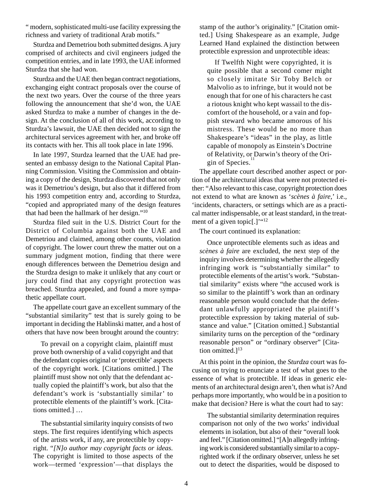" modern, sophisticated multi-use facility expressing the richness and variety of traditional Arab motifs."

Sturdza and Demetriou both submitted designs. A jury comprised of architects and civil engineers judged the competition entries, and in late 1993, the UAE informed Sturdza that she had won.

Sturdza and the UAE then began contract negotiations, exchanging eight contract proposals over the course of the next two years. Over the course of the three years following the announcement that she'd won, the UAE asked Sturdza to make a number of changes in the design. At the conclusion of all of this work, according to Sturdza's lawsuit, the UAE then decided not to sign the architectural services agreement with her, and broke off its contacts with her. This all took place in late 1996.

In late 1997, Sturdza learned that the UAE had presented an embassy design to the National Capital Planning Commission. Visiting the Commission and obtaining a copy of the design, Sturdza discovered that not only was it Demetriou's design, but also that it differed from his 1993 competition entry and, according to Sturdza, "copied and appropriated many of the design features that had been the hallmark of her design."10

Sturdza filed suit in the U.S. District Court for the District of Columbia against both the UAE and Demetriou and claimed, among other counts, violation of copyright. The lower court threw the matter out on a summary judgment motion, finding that there were enough differences between the Demetriou design and the Sturdza design to make it unlikely that any court or jury could find that any copyright protection was breached. Sturdza appealed, and found a more sympathetic appellate court.

The appellate court gave an excellent summary of the "substantial similarity" test that is surely going to be important in deciding the Hablinski matter, and a host of others that have now been brought around the country:

To prevail on a copyright claim, plaintiff must prove both ownership of a valid copyright and that the defendant copies original or 'protectible' aspects of the copyright work. [Citations omitted.] The plaintiff must show not only that the defendant actually copied the plaintiff's work, but also that the defendant's work is 'substantially similar' to protectible elements of the plaintiff's work. [Citations omitted.] …

The substantial similarity inquiry consists of two steps. The first requires identifying which aspects of the artists work, if any, are protectible by copyright. "*[N]o author may copyright facts or ideas.* The copyright is limited to those aspects of the work—termed 'expression'—that displays the

stamp of the author's originality." [Citation omitted.] Using Shakespeare as an example, Judge Learned Hand explained the distinction between protectible expression and unprotectible ideas:

If Twelfth Night were copyrighted, it is quite possible that a second comer might so closely imitate Sir Toby Belch or Malvolio as to infringe, but it would not be enough that for one of his characters he cast a riotous knight who kept wassail to the discomfort of the household, or a vain and foppish steward who became amorous of his mistress. These would be no more than Shakespeare's "ideas" in the play, as little capable of monopoly as Einstein's Doctrine of Relativity, or Darwin's theory of the Origin of Species.<sup>1</sup>

The appellate court described another aspect or portion of the architectural ideas that were not protected either: "Also relevant to this case, copyright protection does not extend to what are known as '*scènes à faire*,' i.e., 'incidents, characters, or settings which are as a practical matter indispensable, or at least standard, in the treatment of a given topic[.]' "<sup>12</sup>

The court continued its explanation:

Once unprotectible elements such as ideas and *scènes à faire* are excluded, the next step of the inquiry involves determining whether the allegedly infringing work is "substantially similar" to protectible elements of the artist's work. "Substantial similarity" exists where "the accused work is so similar to the plaintiff's work than an ordinary reasonable person would conclude that the defendant unlawfully appropriated the plaintiff's protectible expression by taking material of substance and value." [Citation omitted.] Substantial similarity turns on the perception of the "ordinary reasonable person" or "ordinary observer" [Citation omitted.] $13$ 

At this point in the opinion, the *Sturdza* court was focusing on trying to enunciate a test of what goes to the essence of what is protectible. If ideas in generic elements of an architectural design aren't, then what is? And perhaps more importantly, who would be in a position to make that decision? Here is what the court had to say:

The substantial similarity determination requires comparison not only of the two works' individual elements in isolation, but also of their "overall look and feel." [Citation omitted.] "[A]n allegedly infringing work is considered substantially similar to a copyrighted work if the ordinary observer, unless he set out to detect the disparities, would be disposed to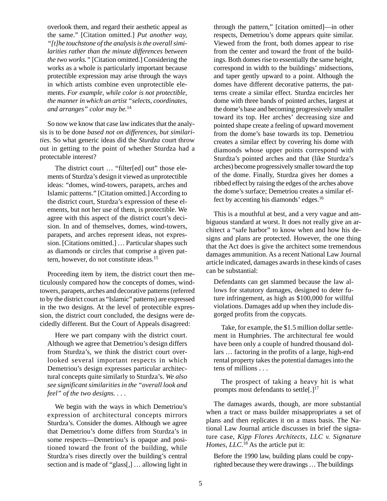overlook them, and regard their aesthetic appeal as the same." [Citation omitted.] *Put another way, "[t]he touchstone of the analysis is the overall similarities rather than the minute differences between the two works."* [Citation omitted.] Considering the works as a whole is particularly important because protectible expression may arise through the ways in which artists combine even unprotectible elements. *For example, while color is not protectible, the manner in which an artist "selects, coordinates, and arranges" color may be.*<sup>14</sup>

So now we know that case law indicates that the analysis is to be done *based not on differences, but similarities*. So what generic ideas did the *Sturdza* court throw out in getting to the point of whether Sturdza had a protectable interest?

The district court … "filter[ed] out" those elements of Sturdza's design it viewed as unprotectible ideas: "domes, wind-towers, parapets, arches and Islamic patterns." [Citation omitted.] According to the district court, Sturdza's expression of these elements, but not her use of them, is protectible. We agree with this aspect of the district court's decision. In and of themselves, domes, wind-towers, parapets, and arches represent ideas, not expression. [Citations omitted.] … Particular shapes such as diamonds or circles that comprise a given pattern, however, do not constitute ideas.15

Proceeding item by item, the district court then meticulously compared how the concepts of domes, windtowers, parapets, arches and decorative patterns (referred to by the district court as "Islamic" patterns) are expressed in the two designs. At the level of protectible expression, the district court concluded, the designs were decidedly different. But the Court of Appeals disagreed:

Here we part company with the district court. Although we agree that Demetriou's design differs from Sturdza's, we think the district court overlooked several important respects in which Demetriou's design expresses particular architectural concepts quite similarly to Sturdza's. *We also see significant similarities in the "overall look and feel" of the two designs.* . . .

We begin with the ways in which Demetriou's expression of architectural concepts mirrors Sturdza's. Consider the domes. Although we agree that Demetriou's dome differs from Sturdza's in some respects—Demetriou's is opaque and positioned toward the front of the building, while Sturdza's rises directly over the building's central section and is made of "glass[,] … allowing light in through the pattern," [citation omitted]—in other respects, Demetriou's dome appears quite similar. Viewed from the front, both domes appear to rise from the center and toward the front of the buildings. Both domes rise to essentially the same height, correspond in width to the buildings' midsections, and taper gently upward to a point. Although the domes have different decorative patterns, the patterns create a similar effect. Sturdza encircles her dome with three bands of pointed arches, largest at the dome's base and becoming progressively smaller toward its top. Her arches' decreasing size and pointed shape create a feeling of upward movement from the dome's base towards its top. Demetriou creates a similar effect by covering his dome with diamonds whose upper points correspond with Sturdza's pointed arches and that (like Sturdza's arches) become progressively smaller toward the top of the dome. Finally, Sturdza gives her domes a ribbed effect by raising the edges of the arches above the dome's surface; Demetriou creates a similar effect by accenting his diamonds' edges.<sup>16</sup>

This is a mouthful at best, and a very vague and ambiguous standard at worst. It does not really give an architect a "safe harbor" to know when and how his designs and plans are protected. However, the one thing that the Act does is give the architect some tremendous damages ammunition. As a recent National Law Journal article indicated, damages awards in these kinds of cases can be substantial:

Defendants can get slammed because the law allows for statutory damages, designed to deter future infringement, as high as \$100,000 for willful violations. Damages add up when they include disgorged profits from the copycats.

Take, for example, the \$1.5 million dollar settlement in Humphries. The architectural fee would have been only a couple of hundred thousand dollars … factoring in the profits of a large, high-end rental property takes the potential damages into the tens of millions . . .

The prospect of taking a heavy hit is what prompts most defendants to settle $[.]^{17}$ 

The damages awards, though, are more substantial when a tract or mass builder misappropriates a set of plans and then replicates it on a mass basis. The National Law Journal article discusses in brief the signature case, *Kipp Flores Architects, LLC v. Signature Homes, LLC*. 18 As the article put it:

Before the 1990 law, building plans could be copyrighted because they were drawings … The buildings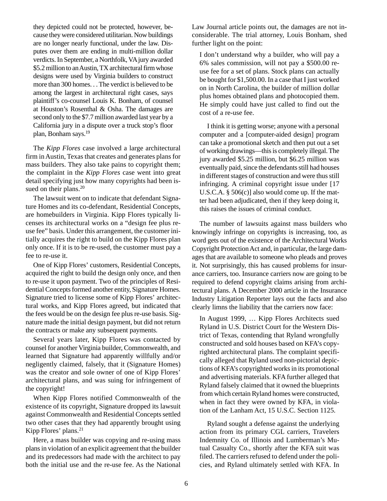they depicted could not be protected, however, because they were considered utilitarian. Now buildings are no longer nearly functional, under the law. Disputes over them are ending in multi-million dollar verdicts. In September, a Northfolk, VA jury awarded \$5.2 million to an Austin, TX architectural firm whose designs were used by Virginia builders to construct more than 300 homes. . . The verdict is believed to be among the largest in architectural right cases, says plaintiff's co-counsel Louis K. Bonham, of counsel at Houston's Rosenthal & Osha. The damages are second only to the \$7.7 million awarded last year by a California jury in a dispute over a truck stop's floor plan, Bonham says.19

The *Kipp Flores* case involved a large architectural firm in Austin, Texas that creates and generates plans for mass builders. They also take pains to copyright them; the complaint in the *Kipp Flores* case went into great detail specifying just how many copyrights had been issued on their plans.<sup>20</sup>

The lawsuit went on to indicate that defendant Signature Homes and its co-defendant, Residential Concepts, are homebuilders in Virginia. Kipp Flores typically licenses its architectural works on a "design fee plus reuse fee" basis. Under this arrangement, the customer initially acquires the right to build on the Kipp Flores plan only once. If it is to be re-used, the customer must pay a fee to re-use it.

One of Kipp Flores' customers, Residential Concepts, acquired the right to build the design only once, and then to re-use it upon payment. Two of the principles of Residential Concepts formed another entity, Signature Homes. Signature tried to license some of Kipp Flores' architectural works, and Kipp Flores agreed, but indicated that the fees would be on the design fee plus re-use basis. Signature made the initial design payment, but did not return the contracts or make any subsequent payments.

Several years later, Kipp Flores was contacted by counsel for another Virginia builder, Commonwealth, and learned that Signature had apparently willfully and/or negligently claimed, falsely, that it (Signature Homes) was the creator and sole owner of one of Kipp Flores' architectural plans, and was suing for infringement of the copyright!

When Kipp Flores notified Commonwealth of the existence of its copyright, Signature dropped its lawsuit against Commonwealth and Residential Concepts settled two other cases that they had apparently brought using Kipp Flores' plans.<sup>21</sup>

Here, a mass builder was copying and re-using mass plans in violation of an explicit agreement that the builder and its predecessors had made with the architect to pay both the initial use and the re-use fee. As the National

Law Journal article points out, the damages are not inconsiderable. The trial attorney, Louis Bonham, shed further light on the point:

I don't understand why a builder, who will pay a 6% sales commission, will not pay a \$500.00 reuse fee for a set of plans. Stock plans can actually be bought for \$1,500.00. In a case that I just worked on in North Carolina, the builder of million dollar plus homes obtained plans and photocopied them. He simply could have just called to find out the cost of a re-use fee.

I think it is getting worse; anyone with a personal computer and a [computer-aided design] program can take a promotional sketch and then put out a set of working drawings—this is completely illegal. The jury awarded \$5.25 million, but \$6.25 million was eventually paid, since the defendants still had houses in different stages of construction and were thus still infringing. A criminal copyright issue under [17 U.S.C.A. § 506(c)] also would come up. If the matter had been adjudicated, then if they keep doing it, this raises the issues of criminal conduct.

The number of lawsuits against mass builders who knowingly infringe on copyrights is increasing, too, as word gets out of the existence of the Architectural Works Copyright Protection Act and, in particular, the large damages that are available to someone who pleads and proves it. Not surprisingly, this has caused problems for insurance carriers, too. Insurance carriers now are going to be required to defend copyright claims arising from architectural plans. A December 2000 article in the Insurance Industry Litigation Reporter lays out the facts and also clearly limns the liability that the carriers now face:

In August 1999, … Kipp Flores Architects sued Ryland in U.S. District Court for the Western District of Texas, contending that Ryland wrongfully constructed and sold houses based on KFA's copyrighted architectural plans. The complaint specifically alleged that Ryland used non-pictorial depictions of KFA's copyrighted works in its promotional and advertising materials. KFA further alleged that Ryland falsely claimed that it owned the blueprints from which certain Ryland homes were constructed, when in fact they were owned by KFA, in violation of the Lanham Act, 15 U.S.C. Section 1125.

Ryland sought a defense against the underlying action from its primary CGL carriers, Travelers Indemnity Co. of Illinois and Lumberman's Mutual Casualty Co., shortly after the KFA suit was filed. The carriers refused to defend under the policies, and Ryland ultimately settled with KFA. In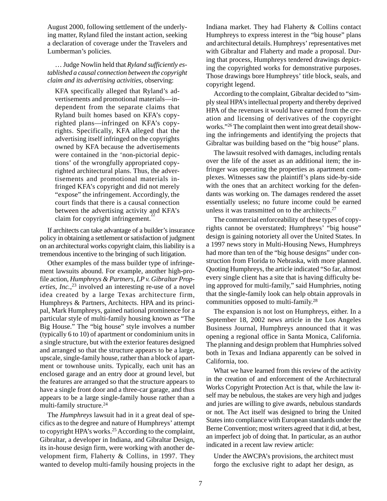August 2000, following settlement of the underlying matter, Ryland filed the instant action, seeking a declaration of coverage under the Travelers and Lumberman's policies.

… Judge Nowlin held that *Ryland sufficiently established a causal connection between the copyright claim and its advertising activities*, observing:

KFA specifically alleged that Ryland's advertisements and promotional materials—independent from the separate claims that Ryland built homes based on KFA's copyrighted plans—infringed on KFA's copyrights. Specifically, KFA alleged that the advertising itself infringed on the copyrights owned by KFA because the advertisements were contained in the 'non-pictorial depictions' of the wrongfully appropriated copyrighted architectural plans. Thus, the advertisements and promotional materials infringed KFA's copyright and did not merely "expose" the infringement. Accordingly, the court finds that there is a causal connection between the advertising activity and KFA's claim for copyright infringement.<sup>2</sup>

If architects can take advantage of a builder's insurance policy in obtaining a settlement or satisfaction of judgment on an architectural works copyright claim, this liability is a tremendous incentive to the bringing of such litigation.

Other examples of the mass builder type of infringement lawsuits abound. For example, another high-profile action, *Humphreys & Partners, LP v. Gibraltar Properties, Inc.*, 23 involved an interesting re-use of a novel idea created by a large Texas architecture firm, Humphreys & Partners, Architects. HPA and its principal, Mark Humphreys, gained national prominence for a particular style of multi-family housing known as "The Big House." The "big house" style involves a number (typically 6 to 10) of apartment or condominium units in a single structure, but with the exterior features designed and arranged so that the structure appears to be a large, upscale, single-family house, rather than a block of apartment or townhouse units. Typically, each unit has an enclosed garage and an entry door at ground level, but the features are arranged so that the structure appears to have a single front door and a three-car garage, and thus appears to be a large single-family house rather than a multi-family structure.<sup>24</sup>

The *Humphreys* lawsuit had in it a great deal of specifics as to the degree and nature of Humphreys' attempt to copyright HPA's works.<sup>25</sup> According to the complaint, Gibraltar, a developer in Indiana, and Gibraltar Design, its in-house design firm, were working with another development firm, Flaherty & Collins, in 1997. They wanted to develop multi-family housing projects in the Indiana market. They had Flaherty & Collins contact Humphreys to express interest in the "big house" plans and architectural details. Humphreys' representatives met with Gibraltar and Flaherty and made a proposal. During that process, Humphreys tendered drawings depicting the copyrighted works for demonstrative purposes. Those drawings bore Humphreys' title block, seals, and copyright legend.

According to the complaint, Gibraltar decided to "simply steal HPA's intellectual property and thereby deprived HPA of the revenues it would have earned from the creation and licensing of derivatives of the copyright works."26 The complaint then went into great detail showing the infringements and identifying the projects that Gibraltar was building based on the "big house" plans.

The lawsuit resolved with damages, including rentals over the life of the asset as an additional item; the infringer was operating the properties as apartment complexes. Witnesses saw the plaintiff's plans side-by-side with the ones that an architect working for the defendants was working on. The damages rendered the asset essentially useless; no future income could be earned unless it was transmitted on to the architects.<sup>27</sup>

The commercial enforceability of these types of copyrights cannot be overstated; Humphreys' "big house" design is gaining notoriety all over the United States. In a 1997 news story in Multi-Housing News, Humphreys had more than ten of the "big house designs" under construction from Florida to Nebraska, with more planned. Quoting Humphreys, the article indicated "So far, almost every single client has a site that is having difficulty being approved for multi-family," said Humphries, noting that the single-family look can help obtain approvals in communities opposed to multi-family.28

The expansion is not lost on Humphreys, either. In a September 18, 2002 news article in the Los Angeles Business Journal, Humphreys announced that it was opening a regional office in Santa Monica, California. The planning and design problem that Humphries solved both in Texas and Indiana apparently can be solved in California, too.

What we have learned from this review of the activity in the creation of and enforcement of the Architectural Works Copyright Protection Act is that, while the law itself may be nebulous, the stakes are very high and judges and juries are willing to give awards, nebulous standards or not. The Act itself was designed to bring the United States into compliance with European standards under the Berne Convention; most writers agreed that it did, at best, an imperfect job of doing that. In particular, as an author indicated in a recent law review article:

Under the AWCPA's provisions, the architect must forgo the exclusive right to adapt her design, as